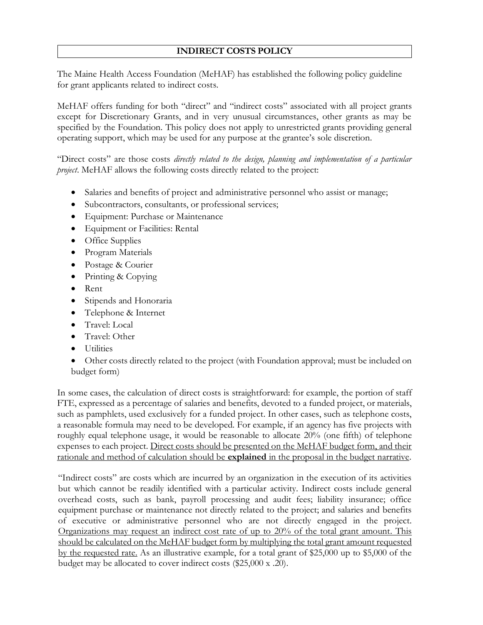## **INDIRECT COSTS POLICY**

The Maine Health Access Foundation (MeHAF) has established the following policy guideline for grant applicants related to indirect costs.

MeHAF offers funding for both "direct" and "indirect costs" associated with all project grants except for Discretionary Grants, and in very unusual circumstances, other grants as may be specified by the Foundation. This policy does not apply to unrestricted grants providing general operating support, which may be used for any purpose at the grantee's sole discretion.

"Direct costs" are those costs *directly related to the design, planning and implementation of a particular project*. MeHAF allows the following costs directly related to the project:

- Salaries and benefits of project and administrative personnel who assist or manage;
- Subcontractors, consultants, or professional services;
- Equipment: Purchase or Maintenance
- Equipment or Facilities: Rental
- Office Supplies
- Program Materials
- Postage & Courier
- Printing & Copying
- Rent
- Stipends and Honoraria
- Telephone & Internet
- Travel: Local
- Travel: Other
- Utilities

• Other costs directly related to the project (with Foundation approval; must be included on budget form)

In some cases, the calculation of direct costs is straightforward: for example, the portion of staff FTE, expressed as a percentage of salaries and benefits, devoted to a funded project, or materials, such as pamphlets, used exclusively for a funded project. In other cases, such as telephone costs, a reasonable formula may need to be developed. For example, if an agency has five projects with roughly equal telephone usage, it would be reasonable to allocate 20% (one fifth) of telephone expenses to each project. Direct costs should be presented on the MeHAF budget form, and their rationale and method of calculation should be **explained** in the proposal in the budget narrative.

"Indirect costs" are costs which are incurred by an organization in the execution of its activities but which cannot be readily identified with a particular activity. Indirect costs include general overhead costs, such as bank, payroll processing and audit fees; liability insurance; office equipment purchase or maintenance not directly related to the project; and salaries and benefits of executive or administrative personnel who are not directly engaged in the project. Organizations may request an indirect cost rate of up to 20% of the total grant amount. This should be calculated on the MeHAF budget form by multiplying the total grant amount requested by the requested rate. As an illustrative example, for a total grant of \$25,000 up to \$5,000 of the budget may be allocated to cover indirect costs (\$25,000 x .20).